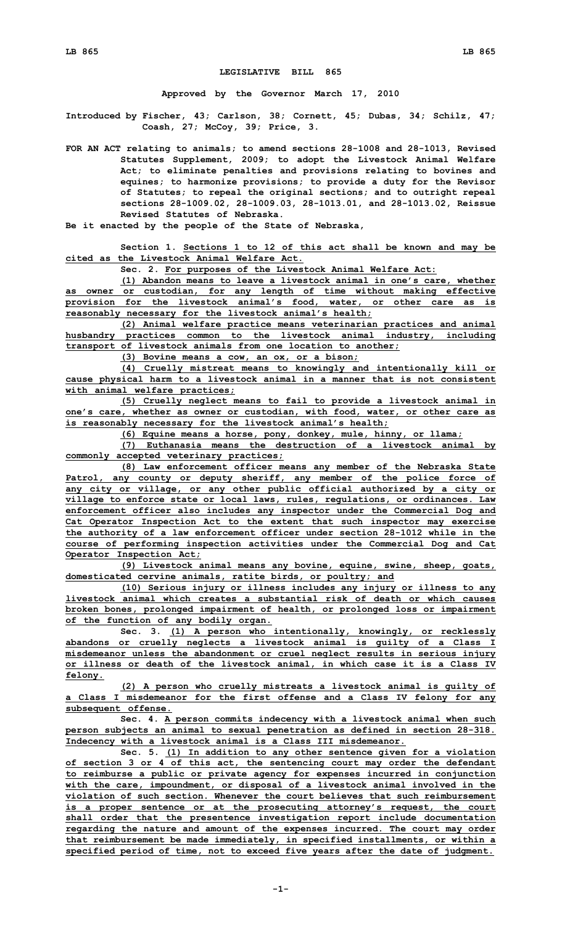## **LEGISLATIVE BILL 865**

**Approved by the Governor March 17, 2010**

**Introduced by Fischer, 43; Carlson, 38; Cornett, 45; Dubas, 34; Schilz, 47; Coash, 27; McCoy, 39; Price, 3.**

**FOR AN ACT relating to animals; to amend sections 28-1008 and 28-1013, Revised Statutes Supplement, 2009; to adopt the Livestock Animal Welfare Act; to eliminate penalties and provisions relating to bovines and equines; to harmonize provisions; to provide <sup>a</sup> duty for the Revisor of Statutes; to repeal the original sections; and to outright repeal sections 28-1009.02, 28-1009.03, 28-1013.01, and 28-1013.02, Reissue Revised Statutes of Nebraska.**

**Be it enacted by the people of the State of Nebraska,**

**Section 1. Sections 1 to 12 of this act shall be known and may be cited as the Livestock Animal Welfare Act.**

**Sec. 2. For purposes of the Livestock Animal Welfare Act:**

**(1) Abandon means to leave <sup>a</sup> livestock animal in one's care, whether as owner or custodian, for any length of time without making effective provision for the livestock animal's food, water, or other care as is reasonably necessary for the livestock animal's health;**

**(2) Animal welfare practice means veterinarian practices and animal husbandry practices common to the livestock animal industry, including transport of livestock animals from one location to another;**

**(3) Bovine means <sup>a</sup> cow, an ox, or <sup>a</sup> bison;**

**(4) Cruelly mistreat means to knowingly and intentionally kill or cause physical harm to <sup>a</sup> livestock animal in <sup>a</sup> manner that is not consistent with animal welfare practices;**

**(5) Cruelly neglect means to fail to provide <sup>a</sup> livestock animal in one's care, whether as owner or custodian, with food, water, or other care as is reasonably necessary for the livestock animal's health;**

**(6) Equine means <sup>a</sup> horse, pony, donkey, mule, hinny, or llama;**

**(7) Euthanasia means the destruction of <sup>a</sup> livestock animal by commonly accepted veterinary practices;**

**(8) Law enforcement officer means any member of the Nebraska State Patrol, any county or deputy sheriff, any member of the police force of any city or village, or any other public official authorized by <sup>a</sup> city or village to enforce state or local laws, rules, regulations, or ordinances. Law enforcement officer also includes any inspector under the Commercial Dog and Cat Operator Inspection Act to the extent that such inspector may exercise the authority of <sup>a</sup> law enforcement officer under section 28-1012 while in the course of performing inspection activities under the Commercial Dog and Cat Operator Inspection Act;**

**(9) Livestock animal means any bovine, equine, swine, sheep, goats, domesticated cervine animals, ratite birds, or poultry; and**

**(10) Serious injury or illness includes any injury or illness to any livestock animal which creates a substantial risk of death or which causes broken bones, prolonged impairment of health, or prolonged loss or impairment of the function of any bodily organ.**

**Sec. 3. (1) <sup>A</sup> person who intentionally, knowingly, or recklessly abandons or cruelly neglects <sup>a</sup> livestock animal is guilty of <sup>a</sup> Class I misdemeanor unless the abandonment or cruel neglect results in serious injury or illness or death of the livestock animal, in which case it is <sup>a</sup> Class IV felony.**

**(2) <sup>A</sup> person who cruelly mistreats <sup>a</sup> livestock animal is guilty of <sup>a</sup> Class I misdemeanor for the first offense and <sup>a</sup> Class IV felony for any subsequent offense.**

**Sec. 4. A person commits indecency with <sup>a</sup> livestock animal when such person subjects an animal to sexual penetration as defined in section 28-318. Indecency with <sup>a</sup> livestock animal is <sup>a</sup> Class III misdemeanor.**

**Sec. 5. (1) In addition to any other sentence given for <sup>a</sup> violation of section 3 or 4 of this act, the sentencing court may order the defendant to reimburse <sup>a</sup> public or private agency for expenses incurred in conjunction with the care, impoundment, or disposal of <sup>a</sup> livestock animal involved in the violation of such section. Whenever the court believes that such reimbursement is <sup>a</sup> proper sentence or at the prosecuting attorney's request, the court shall order that the presentence investigation report include documentation regarding the nature and amount of the expenses incurred. The court may order that reimbursement be made immediately, in specified installments, or within <sup>a</sup> specified period of time, not to exceed five years after the date of judgment.**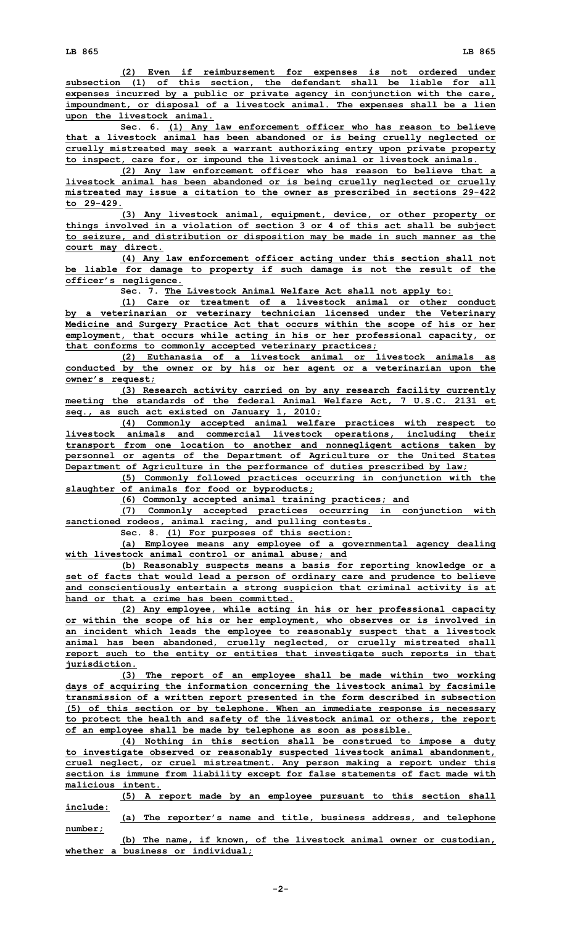**(2) Even if reimbursement for expenses is not ordered under subsection (1) of this section, the defendant shall be liable for all expenses incurred by <sup>a</sup> public or private agency in conjunction with the care, impoundment, or disposal of <sup>a</sup> livestock animal. The expenses shall be <sup>a</sup> lien upon the livestock animal.**

**Sec. 6. (1) Any law enforcement officer who has reason to believe that <sup>a</sup> livestock animal has been abandoned or is being cruelly neglected or cruelly mistreated may seek <sup>a</sup> warrant authorizing entry upon private property to inspect, care for, or impound the livestock animal or livestock animals.**

**(2) Any law enforcement officer who has reason to believe that <sup>a</sup> livestock animal has been abandoned or is being cruelly neglected or cruelly mistreated may issue <sup>a</sup> citation to the owner as prescribed in sections 29-422 to 29-429.**

**(3) Any livestock animal, equipment, device, or other property or things involved in <sup>a</sup> violation of section 3 or 4 of this act shall be subject to seizure, and distribution or disposition may be made in such manner as the court may direct.**

**(4) Any law enforcement officer acting under this section shall not be liable for damage to property if such damage is not the result of the officer's negligence.**

**Sec. 7. The Livestock Animal Welfare Act shall not apply to:**

**(1) Care or treatment of <sup>a</sup> livestock animal or other conduct by <sup>a</sup> veterinarian or veterinary technician licensed under the Veterinary Medicine and Surgery Practice Act that occurs within the scope of his or her employment, that occurs while acting in his or her professional capacity, or that conforms to commonly accepted veterinary practices;**

**(2) Euthanasia of <sup>a</sup> livestock animal or livestock animals as conducted by the owner or by his or her agent or <sup>a</sup> veterinarian upon the owner's request;**

**(3) Research activity carried on by any research facility currently meeting the standards of the federal Animal Welfare Act, 7 U.S.C. 2131 et seq., as such act existed on January 1, 2010;**

**(4) Commonly accepted animal welfare practices with respect to livestock animals and commercial livestock operations, including their transport from one location to another and nonnegligent actions taken by personnel or agents of the Department of Agriculture or the United States Department of Agriculture in the performance of duties prescribed by law;**

**(5) Commonly followed practices occurring in conjunction with the slaughter of animals for food or byproducts;**

**(6) Commonly accepted animal training practices; and**

**(7) Commonly accepted practices occurring in conjunction with sanctioned rodeos, animal racing, and pulling contests.**

**Sec. 8. (1) For purposes of this section:**

**(a) Employee means any employee of <sup>a</sup> governmental agency dealing with livestock animal control or animal abuse; and**

**(b) Reasonably suspects means <sup>a</sup> basis for reporting knowledge or <sup>a</sup> set of facts that would lead <sup>a</sup> person of ordinary care and prudence to believe and conscientiously entertain <sup>a</sup> strong suspicion that criminal activity is at hand or that a crime has been committed.**

**(2) Any employee, while acting in his or her professional capacity or within the scope of his or her employment, who observes or is involved in an incident which leads the employee to reasonably suspect that <sup>a</sup> livestock animal has been abandoned, cruelly neglected, or cruelly mistreated shall report such to the entity or entities that investigate such reports in that jurisdiction.**

**(3) The report of an employee shall be made within two working days of acquiring the information concerning the livestock animal by facsimile transmission of <sup>a</sup> written report presented in the form described in subsection (5) of this section or by telephone. When an immediate response is necessary to protect the health and safety of the livestock animal or others, the report of an employee shall be made by telephone as soon as possible.**

**(4) Nothing in this section shall be construed to impose <sup>a</sup> duty to investigate observed or reasonably suspected livestock animal abandonment, cruel neglect, or cruel mistreatment. Any person making <sup>a</sup> report under this section is immune from liability except for false statements of fact made with malicious intent.**

**(5) <sup>A</sup> report made by an employee pursuant to this section shall include:**

**(a) The reporter's name and title, business address, and telephone number;**

**(b) The name, if known, of the livestock animal owner or custodian, whether <sup>a</sup> business or individual;**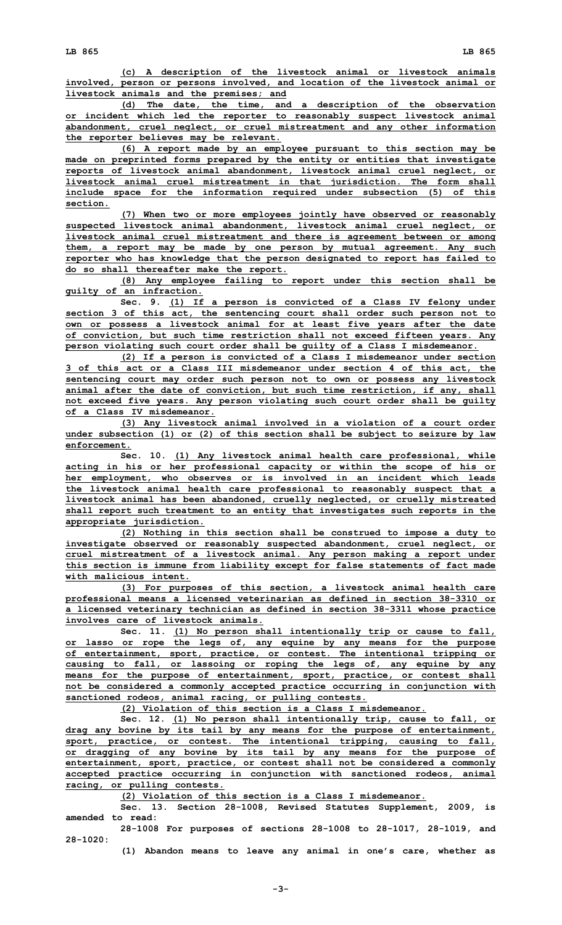**(c) <sup>A</sup> description of the livestock animal or livestock animals involved, person or persons involved, and location of the livestock animal or livestock animals and the premises; and**

**(d) The date, the time, and <sup>a</sup> description of the observation or incident which led the reporter to reasonably suspect livestock animal abandonment, cruel neglect, or cruel mistreatment and any other information the reporter believes may be relevant.**

**(6) <sup>A</sup> report made by an employee pursuant to this section may be made on preprinted forms prepared by the entity or entities that investigate reports of livestock animal abandonment, livestock animal cruel neglect, or livestock animal cruel mistreatment in that jurisdiction. The form shall include space for the information required under subsection (5) of this section.**

**(7) When two or more employees jointly have observed or reasonably suspected livestock animal abandonment, livestock animal cruel neglect, or livestock animal cruel mistreatment and there is agreement between or among them, <sup>a</sup> report may be made by one person by mutual agreement. Any such reporter who has knowledge that the person designated to report has failed to do so shall thereafter make the report.**

**(8) Any employee failing to report under this section shall be guilty of an infraction.**

**Sec. 9. (1) If <sup>a</sup> person is convicted of <sup>a</sup> Class IV felony under section 3 of this act, the sentencing court shall order such person not to own or possess <sup>a</sup> livestock animal for at least five years after the date of conviction, but such time restriction shall not exceed fifteen years. Any person violating such court order shall be guilty of <sup>a</sup> Class I misdemeanor.**

**(2) If <sup>a</sup> person is convicted of <sup>a</sup> Class <sup>I</sup> misdemeanor under section 3 of this act or <sup>a</sup> Class III misdemeanor under section 4 of this act, the sentencing court may order such person not to own or possess any livestock animal after the date of conviction, but such time restriction, if any, shall not exceed five years. Any person violating such court order shall be guilty of a Class IV misdemeanor.**

**(3) Any livestock animal involved in <sup>a</sup> violation of <sup>a</sup> court order under subsection (1) or (2) of this section shall be subject to seizure by law enforcement.**

**Sec. 10. (1) Any livestock animal health care professional, while acting in his or her professional capacity or within the scope of his or her employment, who observes or is involved in an incident which leads the livestock animal health care professional to reasonably suspect that <sup>a</sup> livestock animal has been abandoned, cruelly neglected, or cruelly mistreated shall report such treatment to an entity that investigates such reports in the appropriate jurisdiction.**

**(2) Nothing in this section shall be construed to impose <sup>a</sup> duty to investigate observed or reasonably suspected abandonment, cruel neglect, or cruel mistreatment of <sup>a</sup> livestock animal. Any person making <sup>a</sup> report under this section is immune from liability except for false statements of fact made with malicious intent.**

**(3) For purposes of this section, <sup>a</sup> livestock animal health care professional means <sup>a</sup> licensed veterinarian as defined in section 38-3310 or <sup>a</sup> licensed veterinary technician as defined in section 38-3311 whose practice involves care of livestock animals.**

**Sec. 11. (1) No person shall intentionally trip or cause to fall, or lasso or rope the legs of, any equine by any means for the purpose of entertainment, sport, practice, or contest. The intentional tripping or causing to fall, or lassoing or roping the legs of, any equine by any means for the purpose of entertainment, sport, practice, or contest shall not be considered <sup>a</sup> commonly accepted practice occurring in conjunction with sanctioned rodeos, animal racing, or pulling contests.**

**(2) Violation of this section is <sup>a</sup> Class I misdemeanor.**

**Sec. 12. (1) No person shall intentionally trip, cause to fall, or drag any bovine by its tail by any means for the purpose of entertainment, sport, practice, or contest. The intentional tripping, causing to fall, or dragging of any bovine by its tail by any means for the purpose of entertainment, sport, practice, or contest shall not be considered <sup>a</sup> commonly accepted practice occurring in conjunction with sanctioned rodeos, animal racing, or pulling contests.**

**(2) Violation of this section is <sup>a</sup> Class I misdemeanor.**

**Sec. 13. Section 28-1008, Revised Statutes Supplement, 2009, is amended to read:**

**28-1008 For purposes of sections 28-1008 to 28-1017, 28-1019, and 28-1020:**

**(1) Abandon means to leave any animal in one's care, whether as**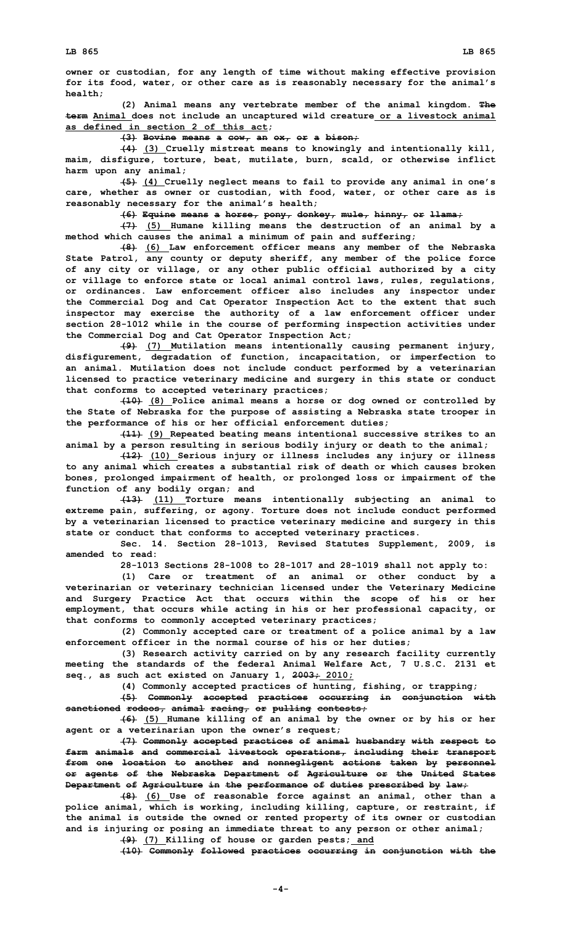**owner or custodian, for any length of time without making effective provision for its food, water, or other care as is reasonably necessary for the animal's health;**

**(2) Animal means any vertebrate member of the animal kingdom. The term Animal does not include an uncaptured wild creature or <sup>a</sup> livestock animal as defined in section 2 of this act;**

**(3) Bovine means <sup>a</sup> cow, an ox, or <sup>a</sup> bison;**

**(4) (3) Cruelly mistreat means to knowingly and intentionally kill, maim, disfigure, torture, beat, mutilate, burn, scald, or otherwise inflict harm upon any animal;**

**(5) (4) Cruelly neglect means to fail to provide any animal in one's care, whether as owner or custodian, with food, water, or other care as is reasonably necessary for the animal's health;**

**(6) Equine means <sup>a</sup> horse, pony, donkey, mule, hinny, or llama;**

**(7) (5) Humane killing means the destruction of an animal by <sup>a</sup> method which causes the animal <sup>a</sup> minimum of pain and suffering;**

**(8) (6) Law enforcement officer means any member of the Nebraska State Patrol, any county or deputy sheriff, any member of the police force of any city or village, or any other public official authorized by <sup>a</sup> city or village to enforce state or local animal control laws, rules, regulations, or ordinances. Law enforcement officer also includes any inspector under the Commercial Dog and Cat Operator Inspection Act to the extent that such inspector may exercise the authority of <sup>a</sup> law enforcement officer under section 28-1012 while in the course of performing inspection activities under the Commercial Dog and Cat Operator Inspection Act;**

**(9) (7) Mutilation means intentionally causing permanent injury, disfigurement, degradation of function, incapacitation, or imperfection to an animal. Mutilation does not include conduct performed by <sup>a</sup> veterinarian licensed to practice veterinary medicine and surgery in this state or conduct that conforms to accepted veterinary practices;**

**(10) (8) Police animal means <sup>a</sup> horse or dog owned or controlled by the State of Nebraska for the purpose of assisting <sup>a</sup> Nebraska state trooper in the performance of his or her official enforcement duties;**

**(11) (9) Repeated beating means intentional successive strikes to an animal by <sup>a</sup> person resulting in serious bodily injury or death to the animal;**

**(12) (10) Serious injury or illness includes any injury or illness to any animal which creates <sup>a</sup> substantial risk of death or which causes broken bones, prolonged impairment of health, or prolonged loss or impairment of the function of any bodily organ; and**

**(13) (11) Torture means intentionally subjecting an animal to extreme pain, suffering, or agony. Torture does not include conduct performed by <sup>a</sup> veterinarian licensed to practice veterinary medicine and surgery in this state or conduct that conforms to accepted veterinary practices.**

**Sec. 14. Section 28-1013, Revised Statutes Supplement, 2009, is amended to read:**

**28-1013 Sections 28-1008 to 28-1017 and 28-1019 shall not apply to:**

**(1) Care or treatment of an animal or other conduct by <sup>a</sup> veterinarian or veterinary technician licensed under the Veterinary Medicine and Surgery Practice Act that occurs within the scope of his or her employment, that occurs while acting in his or her professional capacity, or that conforms to commonly accepted veterinary practices;**

**(2) Commonly accepted care or treatment of <sup>a</sup> police animal by <sup>a</sup> law enforcement officer in the normal course of his or her duties;**

**(3) Research activity carried on by any research facility currently meeting the standards of the federal Animal Welfare Act, 7 U.S.C. 2131 et seq., as such act existed on January 1, 2003; 2010;**

**(4) Commonly accepted practices of hunting, fishing, or trapping;**

**(5) Commonly accepted practices occurring in conjunction with sanctioned rodeos, animal racing, or pulling contests;**

**(6) (5) Humane killing of an animal by the owner or by his or her agent or <sup>a</sup> veterinarian upon the owner's request;**

**(7) Commonly accepted practices of animal husbandry with respect to farm animals and commercial livestock operations, including their transport from one location to another and nonnegligent actions taken by personnel or agents of the Nebraska Department of Agriculture or the United States Department of Agriculture in the performance of duties prescribed by law;**

**(8) (6) Use of reasonable force against an animal, other than <sup>a</sup> police animal, which is working, including killing, capture, or restraint, if the animal is outside the owned or rented property of its owner or custodian and is injuring or posing an immediate threat to any person or other animal; (9) (7) Killing of house or garden pests; and**

**(10) Commonly followed practices occurring in conjunction with the**